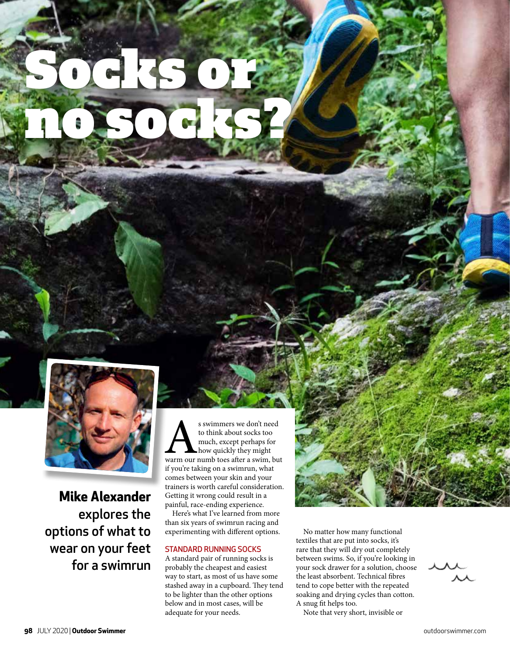

Socks or

no socks?

**Mike Alexander** explores the options of what to wear on your feet for a swimrun s swimmers we don't need<br>to think about socks too<br>much, except perhaps for<br>warm our numb toes after a swim, but to think about socks too much, except perhaps for how quickly they might if you're taking on a swimrun, what comes between your skin and your trainers is worth careful consideration. Getting it wrong could result in a painful, race-ending experience.

Here's what I've learned from more than six years of swimrun racing and experimenting with different options.

# STANDARD RUNNING SOCKS

A standard pair of running socks is probably the cheapest and easiest way to start, as most of us have some stashed away in a cupboard. They tend to be lighter than the other options below and in most cases, will be adequate for your needs.

No matter how many functional textiles that are put into socks, it's rare that they will dry out completely between swims. So, if you're looking in your sock drawer for a solution, choose the least absorbent. Technical fibres tend to cope better with the repeated soaking and drying cycles than cotton. A snug fit helps too.

Note that very short, invisible or